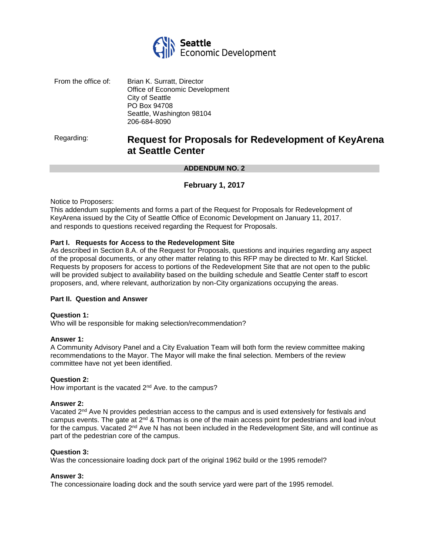

| From the office of: | Brian K. Surratt, Director     |
|---------------------|--------------------------------|
|                     | Office of Economic Development |
|                     | <b>City of Seattle</b>         |
|                     | PO Box 94708                   |
|                     | Seattle, Washington 98104      |
|                     | 206-684-8090                   |

# Regarding: **Request for Proposals for Redevelopment of KeyArena at Seattle Center**

#### **ADDENDUM NO. 2**

# **February 1, 2017**

Notice to Proposers:

This addendum supplements and forms a part of the Request for Proposals for Redevelopment of KeyArena issued by the City of Seattle Office of Economic Development on January 11, 2017. and responds to questions received regarding the Request for Proposals.

## **Part I. Requests for Access to the Redevelopment Site**

As described in Section 8.A. of the Request for Proposals, questions and inquiries regarding any aspect of the proposal documents, or any other matter relating to this RFP may be directed to Mr. Karl Stickel. Requests by proposers for access to portions of the Redevelopment Site that are not open to the public will be provided subject to availability based on the building schedule and Seattle Center staff to escort proposers, and, where relevant, authorization by non-City organizations occupying the areas.

#### **Part II. Question and Answer**

#### **Question 1:**

Who will be responsible for making selection/recommendation?

#### **Answer 1:**

A Community Advisory Panel and a City Evaluation Team will both form the review committee making recommendations to the Mayor. The Mayor will make the final selection. Members of the review committee have not yet been identified.

#### **Question 2:**

How important is the vacated 2<sup>nd</sup> Ave. to the campus?

#### **Answer 2:**

Vacated 2<sup>nd</sup> Ave N provides pedestrian access to the campus and is used extensively for festivals and campus events. The gate at  $2<sup>nd</sup>$  & Thomas is one of the main access point for pedestrians and load in/out for the campus. Vacated 2<sup>nd</sup> Ave N has not been included in the Redevelopment Site, and will continue as part of the pedestrian core of the campus.

#### **Question 3:**

Was the concessionaire loading dock part of the original 1962 build or the 1995 remodel?

#### **Answer 3:**

The concessionaire loading dock and the south service yard were part of the 1995 remodel.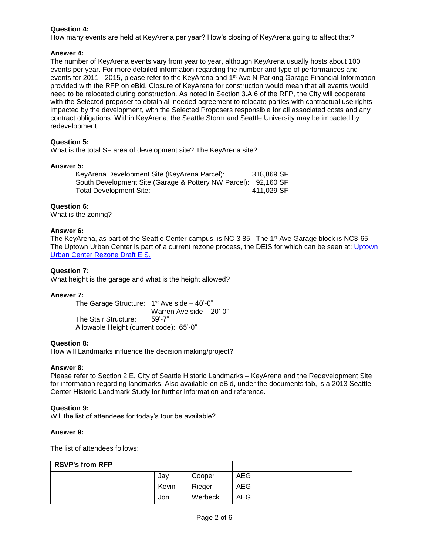# **Question 4:**

How many events are held at KeyArena per year? How's closing of KeyArena going to affect that?

## **Answer 4:**

The number of KeyArena events vary from year to year, although KeyArena usually hosts about 100 events per year. For more detailed information regarding the number and type of performances and events for 2011 - 2015, please refer to the KeyArena and 1<sup>st</sup> Ave N Parking Garage Financial Information provided with the RFP on eBid. Closure of KeyArena for construction would mean that all events would need to be relocated during construction. As noted in Section 3.A.6 of the RFP, the City will cooperate with the Selected proposer to obtain all needed agreement to relocate parties with contractual use rights impacted by the development, with the Selected Proposers responsible for all associated costs and any contract obligations. Within KeyArena, the Seattle Storm and Seattle University may be impacted by redevelopment.

## **Question 5:**

What is the total SF area of development site? The KeyArena site?

#### **Answer 5:**

| KeyArena Development Site (KeyArena Parcel):                   | 318,869 SF |
|----------------------------------------------------------------|------------|
| South Development Site (Garage & Pottery NW Parcel): 92,160 SF |            |
| <b>Total Development Site:</b>                                 | 411.029 SF |

# **Question 6:**

What is the zoning?

## **Answer 6:**

The KeyArena, as part of the Seattle Center campus, is NC-3 85. The 1<sup>st</sup> Ave Garage block is NC3-65. The [Uptown](http://www.seattle.gov/dpd/cs/groups/pan/@pan/documents/web_informational/p2466895.pdf) Urban Center is part of a current rezone process, the DEIS for which can be seen at: Uptown [Urban Center Rezone Draft EIS.](http://www.seattle.gov/dpd/cs/groups/pan/@pan/documents/web_informational/p2466895.pdf)

## **Question 7:**

What height is the garage and what is the height allowed?

#### **Answer 7:**

The Garage Structure: 1st Ave side - 40'-0" Warren Ave side – 20'-0" The Stair Structure: 59'-7" Allowable Height (current code): 65'-0"

#### **Question 8:**

How will Landmarks influence the decision making/project?

#### **Answer 8:**

Please refer to Section 2.E, City of Seattle Historic Landmarks – KeyArena and the Redevelopment Site for information regarding landmarks. Also available on eBid, under the documents tab, is a 2013 Seattle Center Historic Landmark Study for further information and reference.

#### **Question 9:**

Will the list of attendees for today's tour be available?

#### **Answer 9:**

The list of attendees follows:

| <b>RSVP's from RFP</b> |       |         |            |
|------------------------|-------|---------|------------|
|                        | Jav   | Cooper  | <b>AEG</b> |
|                        | Kevin | Rieger  | <b>AEG</b> |
|                        | Jon   | Werbeck | <b>AEG</b> |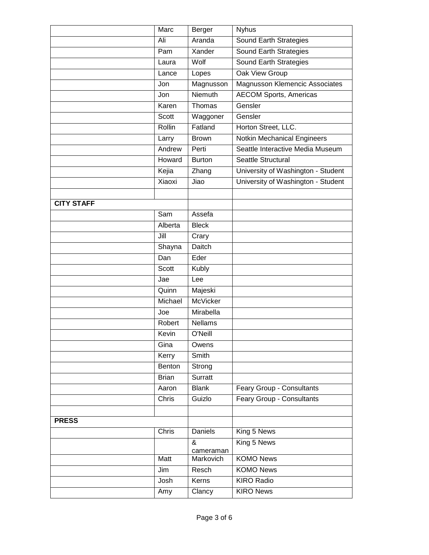|                   | Marc         | Berger          | <b>Nyhus</b>                       |
|-------------------|--------------|-----------------|------------------------------------|
|                   | Ali          | Aranda          | Sound Earth Strategies             |
|                   | Pam          | Xander          | Sound Earth Strategies             |
|                   | Laura        | Wolf            | Sound Earth Strategies             |
|                   | Lance        | Lopes           | <b>Oak View Group</b>              |
|                   | Jon          | Magnusson       | Magnusson Klemencic Associates     |
|                   | Jon          | Niemuth         | <b>AECOM Sports, Americas</b>      |
|                   | Karen        | Thomas          | Gensler                            |
|                   | Scott        | Waggoner        | Gensler                            |
|                   | Rollin       | Fatland         | Horton Street, LLC.                |
|                   | Larry        | <b>Brown</b>    | <b>Notkin Mechanical Engineers</b> |
|                   | Andrew       | Perti           | Seattle Interactive Media Museum   |
|                   | Howard       | <b>Burton</b>   | Seattle Structural                 |
|                   | Kejia        | Zhang           | University of Washington - Student |
|                   | Xiaoxi       | Jiao            | University of Washington - Student |
|                   |              |                 |                                    |
| <b>CITY STAFF</b> |              |                 |                                    |
|                   | Sam          | Assefa          |                                    |
|                   | Alberta      | <b>Bleck</b>    |                                    |
|                   | Jill         | Crary           |                                    |
|                   | Shayna       | Daitch          |                                    |
|                   | Dan          | Eder            |                                    |
|                   | Scott        | <b>Kubly</b>    |                                    |
|                   | Jae          | Lee             |                                    |
|                   | Quinn        | Majeski         |                                    |
|                   | Michael      | <b>McVicker</b> |                                    |
|                   | Joe          | Mirabella       |                                    |
|                   | Robert       | <b>Nellams</b>  |                                    |
|                   | Kevin        | O'Neill         |                                    |
|                   | Gina         | Owens           |                                    |
|                   | Kerry        | Smith           |                                    |
|                   | Benton       | Strong          |                                    |
|                   | <b>Brian</b> | Surratt         |                                    |
|                   | Aaron        | <b>Blank</b>    | Feary Group - Consultants          |
|                   | Chris        | Guizlo          | Feary Group - Consultants          |
|                   |              |                 |                                    |
| <b>PRESS</b>      |              |                 |                                    |
|                   | Chris        | Daniels         | King 5 News                        |
|                   |              | &<br>cameraman  | King 5 News                        |
|                   | Matt         | Markovich       | <b>KOMO News</b>                   |
|                   | Jim          | Resch           | <b>KOMO News</b>                   |
|                   | Josh         | Kerns           | <b>KIRO Radio</b>                  |
|                   | Amy          | Clancy          | <b>KIRO News</b>                   |
|                   |              |                 |                                    |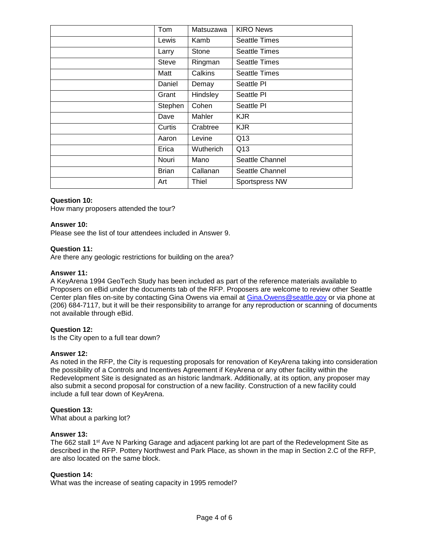| Tom     | Matsuzawa | <b>KIRO News</b>     |
|---------|-----------|----------------------|
| Lewis   | Kamb      | <b>Seattle Times</b> |
| Larry   | Stone     | <b>Seattle Times</b> |
| Steve   | Ringman   | <b>Seattle Times</b> |
| Matt    | Calkins   | <b>Seattle Times</b> |
| Daniel  | Demay     | Seattle PI           |
| Grant   | Hindsley  | Seattle PI           |
| Stephen | Cohen     | Seattle PI           |
| Dave    | Mahler    | <b>KJR</b>           |
| Curtis  | Crabtree  | <b>KJR</b>           |
| Aaron   | Levine    | Q13                  |
| Erica   | Wutherich | Q13                  |
| Nouri   | Mano      | Seattle Channel      |
| Brian   | Callanan  | Seattle Channel      |
| Art     | Thiel     | Sportspress NW       |
|         |           |                      |

## **Question 10:**

How many proposers attended the tour?

#### **Answer 10:**

Please see the list of tour attendees included in Answer 9.

#### **Question 11:**

Are there any geologic restrictions for building on the area?

#### **Answer 11:**

A KeyArena 1994 GeoTech Study has been included as part of the reference materials available to Proposers on eBid under the documents tab of the RFP. Proposers are welcome to review other Seattle Center plan files on-site by contacting Gina Owens via email at [Gina.Owens@seattle.gov](mailto:Gina.Owens@seattle.gov) or via phone at (206) 684-7117, but it will be their responsibility to arrange for any reproduction or scanning of documents not available through eBid.

#### **Question 12:**

Is the City open to a full tear down?

#### **Answer 12:**

As noted in the RFP, the City is requesting proposals for renovation of KeyArena taking into consideration the possibility of a Controls and Incentives Agreement if KeyArena or any other facility within the Redevelopment Site is designated as an historic landmark. Additionally, at its option, any proposer may also submit a second proposal for construction of a new facility. Construction of a new facility could include a full tear down of KeyArena.

#### **Question 13:**

What about a parking lot?

#### **Answer 13:**

The 662 stall 1<sup>st</sup> Ave N Parking Garage and adjacent parking lot are part of the Redevelopment Site as described in the RFP. Pottery Northwest and Park Place, as shown in the map in Section 2.C of the RFP, are also located on the same block.

#### **Question 14:**

What was the increase of seating capacity in 1995 remodel?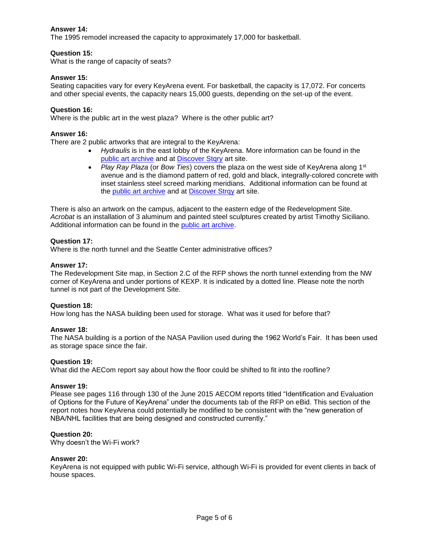# **Answer 14:**

The 1995 remodel increased the capacity to approximately 17,000 for basketball.

# **Question 15:**

What is the range of capacity of seats?

# **Answer 15:**

Seating capacities vary for every KeyArena event. For basketball, the capacity is 17,072. For concerts and other special events, the capacity nears 15,000 guests, depending on the set-up of the event.

# **Question 16:**

Where is the public art in the west plaza? Where is the other public art?

# **Answer 16:**

There are 2 public artworks that are integral to the KeyArena:

- *Hydraulis* is in the east lobby of the KeyArena. More information can be found in the [public art archive](http://www.publicartarchive.org/work/hydraulis) and at **Discover Stqry** art site.
- *Play Ray Plaza* (or *Bow Ties*) covers the plaza on the west side of KeyArena along 1<sup>st</sup> avenue and is the diamond pattern of red, gold and black, integrally-colored concrete with inset stainless steel screed marking meridians. Additional information can be found at the [public art archive](http://www.publicartarchive.org/work/play-ray-plaza) and at [Discover Strqy](https://discover.stqry.com/v/play-ray-plaza-1995/s/3970db11ba24ca92a36e8872f574b4f1arepoint.com/sites/fas/OPS/CPCS/WMBE/WMBE%20Reports/Forms/AllItems.aspx) art site.

There is also an artwork on the campus, adjacent to the eastern edge of the Redevelopment Site. *Acrobat* is an installation of 3 aluminum and painted steel sculptures created by artist Timothy Siciliano. Additional information can be found in the [public art archive.](http://www.publicartarchive.org/work/acrobat-constellation)

## **Question 17:**

Where is the north tunnel and the Seattle Center administrative offices?

## **Answer 17:**

The Redevelopment Site map, in Section 2.C of the RFP shows the north tunnel extending from the NW corner of KeyArena and under portions of KEXP. It is indicated by a dotted line. Please note the north tunnel is not part of the Development Site.

# **Question 18:**

How long has the NASA building been used for storage. What was it used for before that?

# **Answer 18:**

The NASA building is a portion of the NASA Pavilion used during the 1962 World's Fair. It has been used as storage space since the fair.

# **Question 19:**

What did the AECom report say about how the floor could be shifted to fit into the roofline?

#### **Answer 19:**

Please see pages 116 through 130 of the June 2015 AECOM reports titled "Identification and Evaluation of Options for the Future of KeyArena" under the documents tab of the RFP on eBid. This section of the report notes how KeyArena could potentially be modified to be consistent with the "new generation of NBA/NHL facilities that are being designed and constructed currently."

# **Question 20:**

Why doesn't the Wi-Fi work?

#### **Answer 20:**

KeyArena is not equipped with public Wi-Fi service, although Wi-Fi is provided for event clients in back of house spaces.